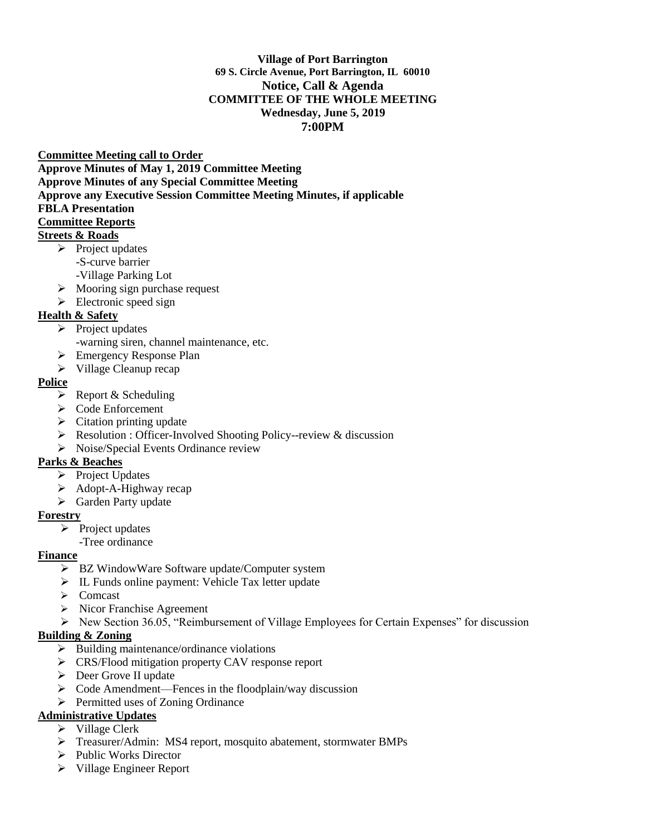### **Village of Port Barrington 69 S. Circle Avenue, Port Barrington, IL 60010 Notice, Call & Agenda COMMITTEE OF THE WHOLE MEETING Wednesday, June 5, 2019 7:00PM**

#### **Committee Meeting call to Order**

**Approve Minutes of May 1, 2019 Committee Meeting Approve Minutes of any Special Committee Meeting Approve any Executive Session Committee Meeting Minutes, if applicable FBLA Presentation Committee Reports** 

### **Streets & Roads**

- ➢ Project updates -S-curve barrier
	- -Village Parking Lot
- $\triangleright$  Mooring sign purchase request
- $\triangleright$  Electronic speed sign

# **Health & Safety**

- $\triangleright$  Project updates
	- -warning siren, channel maintenance, etc.
- ➢ Emergency Response Plan
- ➢ Village Cleanup recap

# **Police**

- ➢ Report & Scheduling
- ➢ Code Enforcement
- $\triangleright$  Citation printing update
- ➢ Resolution : Officer-Involved Shooting Policy--review & discussion
- ➢ Noise/Special Events Ordinance review

# **Parks & Beaches**

- ➢ Project Updates
- ➢ Adopt-A-Highway recap
- ➢ Garden Party update

#### **Forestry**

- ➢ Project updates
	- -Tree ordinance

# **Finance**

- ➢ BZ WindowWare Software update/Computer system
- ➢ IL Funds online payment: Vehicle Tax letter update
- ➢ Comcast
- ➢ Nicor Franchise Agreement
- $\triangleright$  New Section 36.05, "Reimbursement of Village Employees for Certain Expenses" for discussion

# **Building & Zoning**

- $\triangleright$  Building maintenance/ordinance violations
- ➢ CRS/Flood mitigation property CAV response report
- ➢ Deer Grove II update
- ➢ Code Amendment—Fences in the floodplain/way discussion
- ➢ Permitted uses of Zoning Ordinance

# **Administrative Updates**

- ➢ Village Clerk
- ➢ Treasurer/Admin: MS4 report, mosquito abatement, stormwater BMPs
- ➢ Public Works Director
- ➢ Village Engineer Report